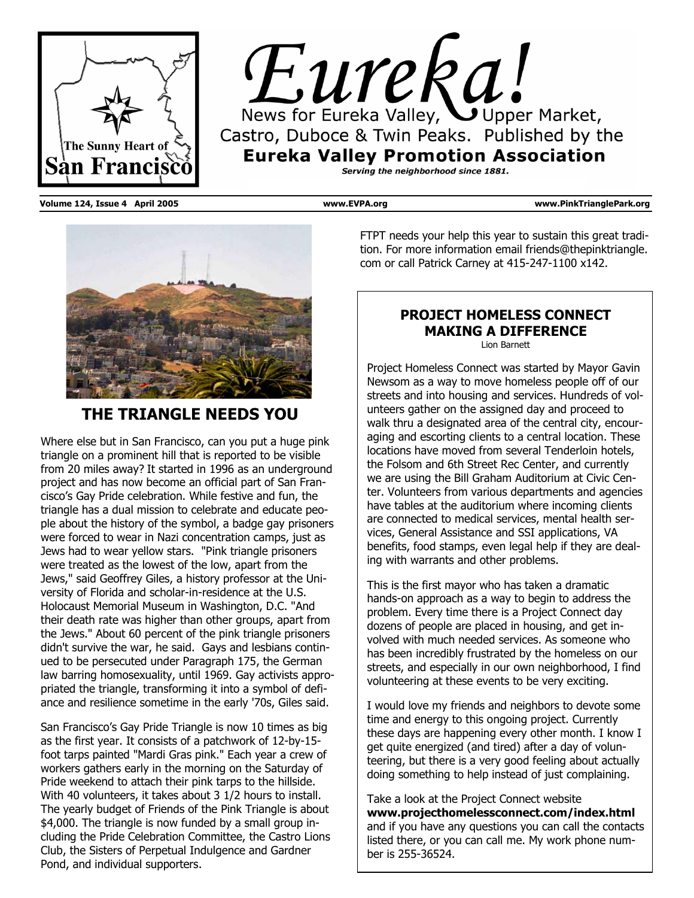



**Volume 124, Issue 4 April 2005 www.EVPA.org www.PinkTrianglePark.org** 



### **THE TRIANGLE NEEDS YOU**

Where else but in San Francisco, can you put a huge pink triangle on a prominent hill that is reported to be visible from 20 miles away? It started in 1996 as an underground project and has now become an official part of San Francisco's Gay Pride celebration. While festive and fun, the triangle has a dual mission to celebrate and educate people about the history of the symbol, a badge gay prisoners were forced to wear in Nazi concentration camps, just as Jews had to wear yellow stars. "Pink triangle prisoners were treated as the lowest of the low, apart from the Jews," said Geoffrey Giles, a history professor at the University of Florida and scholar-in-residence at the U.S. Holocaust Memorial Museum in Washington, D.C. "And their death rate was higher than other groups, apart from the Jews." About 60 percent of the pink triangle prisoners didn't survive the war, he said. Gays and lesbians continued to be persecuted under Paragraph 175, the German law barring homosexuality, until 1969. Gay activists appropriated the triangle, transforming it into a symbol of defiance and resilience sometime in the early '70s, Giles said.

San Francisco's Gay Pride Triangle is now 10 times as big as the first year. It consists of a patchwork of 12-by-15 foot tarps painted "Mardi Gras pink." Each year a crew of workers gathers early in the morning on the Saturday of Pride weekend to attach their pink tarps to the hillside. With 40 volunteers, it takes about 3 1/2 hours to install. The yearly budget of Friends of the Pink Triangle is about \$4,000. The triangle is now funded by a small group including the Pride Celebration Committee, the Castro Lions Club, the Sisters of Perpetual Indulgence and Gardner Pond, and individual supporters.

FTPT needs your help this year to sustain this great tradition. For more information email friends@thepinktriangle. com or call Patrick Carney at 415-247-1100 x142.

### **PROJECT HOMELESS CONNECT MAKING A DIFFERENCE**

Lion Barnett

Project Homeless Connect was started by Mayor Gavin Newsom as a way to move homeless people off of our streets and into housing and services. Hundreds of volunteers gather on the assigned day and proceed to walk thru a designated area of the central city, encouraging and escorting clients to a central location. These locations have moved from several Tenderloin hotels, the Folsom and 6th Street Rec Center, and currently we are using the Bill Graham Auditorium at Civic Center. Volunteers from various departments and agencies have tables at the auditorium where incoming clients are connected to medical services, mental health services, General Assistance and SSI applications, VA benefits, food stamps, even legal help if they are dealing with warrants and other problems.

This is the first mayor who has taken a dramatic hands-on approach as a way to begin to address the problem. Every time there is a Project Connect day dozens of people are placed in housing, and get involved with much needed services. As someone who has been incredibly frustrated by the homeless on our streets, and especially in our own neighborhood, I find volunteering at these events to be very exciting.

I would love my friends and neighbors to devote some time and energy to this ongoing project. Currently these days are happening every other month. I know I get quite energized (and tired) after a day of volunteering, but there is a very good feeling about actually doing something to help instead of just complaining.

Take a look at the Project Connect website **www.projecthomelessconnect.com/index.html** and if you have any questions you can call the contacts listed there, or you can call me. My work phone number is 255-36524.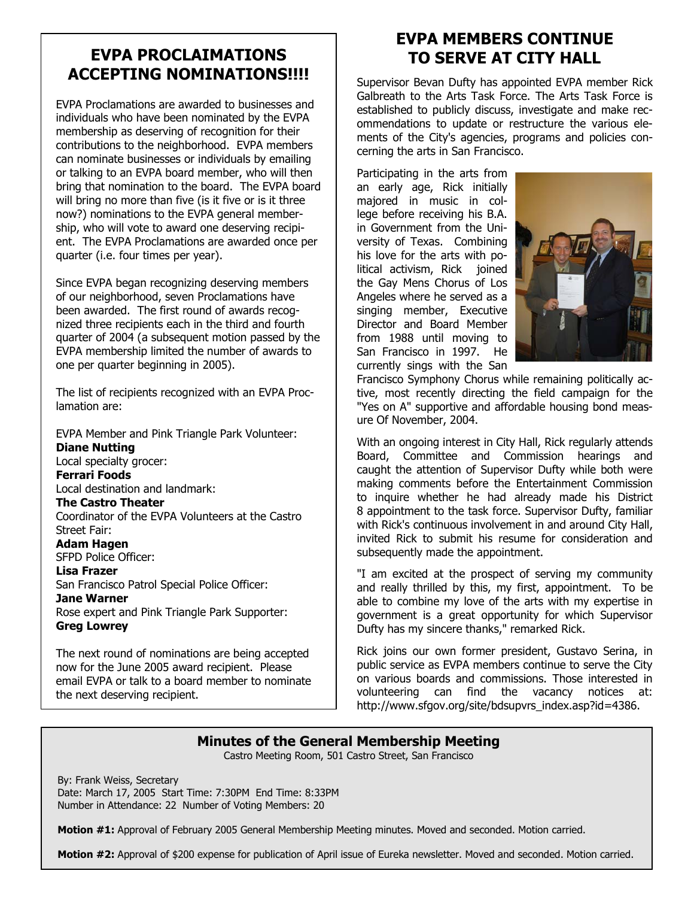### **EVPA PROCLAIMATIONS ACCEPTING NOMINATIONS!!!!**

EVPA Proclamations are awarded to businesses and individuals who have been nominated by the EVPA membership as deserving of recognition for their contributions to the neighborhood. EVPA members can nominate businesses or individuals by emailing or talking to an EVPA board member, who will then bring that nomination to the board. The EVPA board will bring no more than five (is it five or is it three now?) nominations to the EVPA general membership, who will vote to award one deserving recipient. The EVPA Proclamations are awarded once per quarter (i.e. four times per year).

Since EVPA began recognizing deserving members of our neighborhood, seven Proclamations have been awarded. The first round of awards recognized three recipients each in the third and fourth quarter of 2004 (a subsequent motion passed by the EVPA membership limited the number of awards to one per quarter beginning in 2005).

The list of recipients recognized with an EVPA Proclamation are:

EVPA Member and Pink Triangle Park Volunteer: **Diane Nutting** Local specialty grocer: **Ferrari Foods** Local destination and landmark: **The Castro Theater** Coordinator of the EVPA Volunteers at the Castro Street Fair: **Adam Hagen** SFPD Police Officer: **Lisa Frazer** San Francisco Patrol Special Police Officer: **Jane Warner** Rose expert and Pink Triangle Park Supporter: **Greg Lowrey**

The next round of nominations are being accepted now for the June 2005 award recipient. Please email EVPA or talk to a board member to nominate the next deserving recipient.

# **EVPA MEMBERS CONTINUE TO SERVE AT CITY HALL**

Supervisor Bevan Dufty has appointed EVPA member Rick Galbreath to the Arts Task Force. The Arts Task Force is established to publicly discuss, investigate and make recommendations to update or restructure the various elements of the City's agencies, programs and policies concerning the arts in San Francisco.

Participating in the arts from an early age, Rick initially majored in music in college before receiving his B.A. in Government from the University of Texas. Combining his love for the arts with political activism, Rick joined the Gay Mens Chorus of Los Angeles where he served as a singing member, Executive Director and Board Member from 1988 until moving to San Francisco in 1997. He currently sings with the San



Francisco Symphony Chorus while remaining politically active, most recently directing the field campaign for the "Yes on A" supportive and affordable housing bond measure Of November, 2004.

With an ongoing interest in City Hall, Rick regularly attends Board, Committee and Commission hearings and caught the attention of Supervisor Dufty while both were making comments before the Entertainment Commission to inquire whether he had already made his District 8 appointment to the task force. Supervisor Dufty, familiar with Rick's continuous involvement in and around City Hall, invited Rick to submit his resume for consideration and subsequently made the appointment.

"I am excited at the prospect of serving my community and really thrilled by this, my first, appointment. To be able to combine my love of the arts with my expertise in government is a great opportunity for which Supervisor Dufty has my sincere thanks," remarked Rick.

Rick joins our own former president, Gustavo Serina, in public service as EVPA members continue to serve the City on various boards and commissions. Those interested in volunteering can find the vacancy notices at: http://www.sfgov.org/site/bdsupvrs\_index.asp?id=4386.

### **Minutes of the General Membership Meeting**

Castro Meeting Room, 501 Castro Street, San Francisco

By: Frank Weiss, Secretary Date: March 17, 2005 Start Time: 7:30PM End Time: 8:33PM Number in Attendance: 22 Number of Voting Members: 20

**Motion #1:** Approval of February 2005 General Membership Meeting minutes. Moved and seconded. Motion carried.

**Motion #2:** Approval of \$200 expense for publication of April issue of Eureka newsletter. Moved and seconded. Motion carried.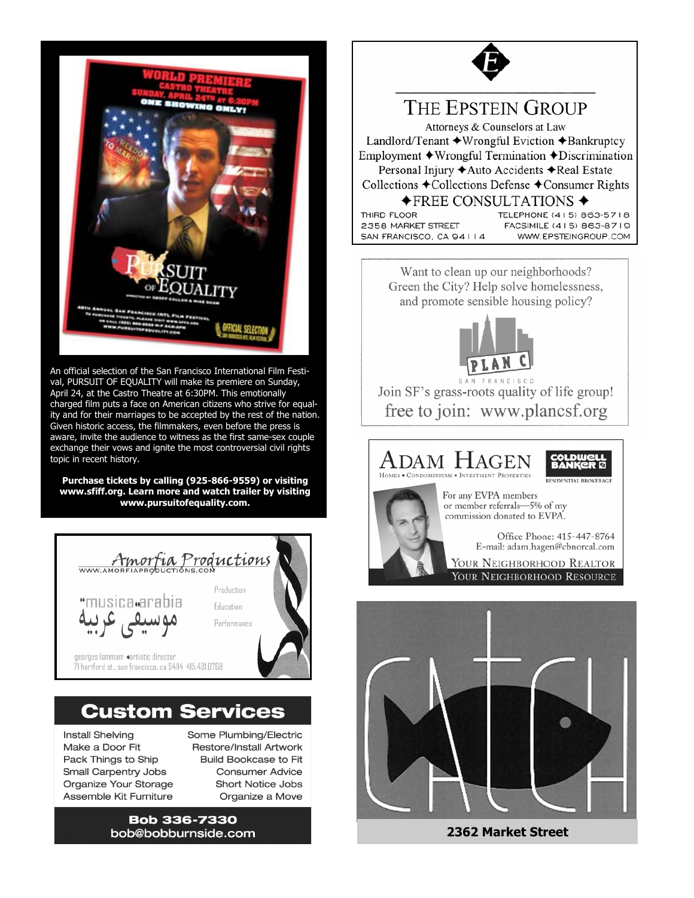

An official selection of the San Francisco International Film Festival, PURSUIT OF EQUALITY will make its premiere on Sunday, April 24, at the Castro Theatre at 6:30PM. This emotionally charged film puts a face on American citizens who strive for equality and for their marriages to be accepted by the rest of the nation. Given historic access, the filmmakers, even before the press is aware, invite the audience to witness as the first same-sex couple exchange their vows and ignite the most controversial civil rights topic in recent history.

**Purchase tickets by calling (925-866-9559) or visiting www.sfiff.org. Learn more and watch trailer by visiting www.pursuitofequality.com.** 



## **Custom Services**

**Install Shelving** Make a Door Fit Pack Things to Ship **Small Carpentry Jobs** Organize Your Storage Assemble Kit Furniture

Some Plumbing/Electric Restore/Install Artwork **Build Bookcase to Fit Consumer Advice Short Notice Jobs** Organize a Move

**Bob 336-7330** bob@bobburnside.com



Want to clean up our neighborhoods? Green the City? Help solve homelessness, and promote sensible housing policy?



Join SF's grass-roots quality of life group! free to join: www.plancsf.org

### ADAM HAGEI HOMES . CONDOMINIUMS . INVESTMENT PROPERTIES For any EVPA members or member referrals-5% of my commission donated to EVPA.

Office Phone: 415-447-8764 E-mail: adam.hagen@cbnorcal.com

YOUR NEIGHBORHOOD REALTOR YOUR NEIGHBORHOOD RESOURCE



**2362 Market Street**